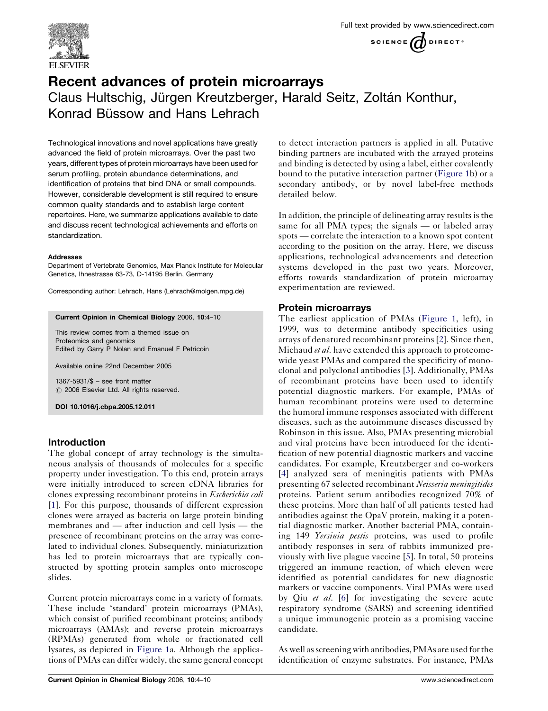

# Recent advances of protein microarrays Claus Hultschig, Jürgen Kreutzberger, Harald Seitz, Zoltán Konthur, Konrad Büssow and Hans Lehrach

Technological innovations and novel applications have greatly advanced the field of protein microarrays. Over the past two years, different types of protein microarrays have been used for serum profiling, protein abundance determinations, and identification of proteins that bind DNA or small compounds. However, considerable development is still required to ensure common quality standards and to establish large content repertoires. Here, we summarize applications available to date and discuss recent technological achievements and efforts on standardization.

#### Addresses

Department of Vertebrate Genomics, Max Planck Institute for Molecular Genetics, Ihnestrasse 63-73, D-14195 Berlin, Germany

Corresponding author: Lehrach, Hans (Lehrach@molgen.mpg.de)

#### Current Opinion in Chemical Biology 2006, 10:4–10

This review comes from a themed issue on Proteomics and genomics Edited by Garry P Nolan and Emanuel F Petricoin

Available online 22nd December 2005

1367-5931/\$ – see front matter  $\odot$  2006 Elsevier Ltd. All rights reserved.

DOI 10.1016/j.cbpa.2005.12.011

#### Introduction

The global concept of array technology is the simultaneous analysis of thousands of molecules for a specific property under investigation. To this end, protein arrays were initially introduced to screen cDNA libraries for clones expressing recombinant proteins in Escherichia coli [\[1](#page-4-0)]. For this purpose, thousands of different expression clones were arrayed as bacteria on large protein binding membranes and — after induction and cell lysis — the presence of recombinant proteins on the array was correlated to individual clones. Subsequently, miniaturization has led to protein microarrays that are typically constructed by spotting protein samples onto microscope slides.

Current protein microarrays come in a variety of formats. These include 'standard' protein microarrays (PMAs), which consist of purified recombinant proteins; antibody microarrays (AMAs); and reverse protein microarrays (RPMAs) generated from whole or fractionated cell lysates, as depicted in [Figure 1a](#page-1-0). Although the applications of PMAs can differ widely, the same general concept

to detect interaction partners is applied in all. Putative binding partners are incubated with the arrayed proteins and binding is detected by using a label, either covalently bound to the putative interaction partner [\(Figure 1b](#page-1-0)) or a secondary antibody, or by novel label-free methods detailed below.

In addition, the principle of delineating array results is the same for all PMA types; the signals — or labeled array spots — correlate the interaction to a known spot content according to the position on the array. Here, we discuss applications, technological advancements and detection systems developed in the past two years. Moreover, efforts towards standardization of protein microarray experimentation are reviewed.

#### Protein microarrays

The earliest application of PMAs [\(Figure 1,](#page-1-0) left), in 1999, was to determine antibody specificities using arrays of denatured recombinant proteins [[2\]](#page-4-0). Since then, Michaud *et al*. have extended this approach to proteomewide yeast PMAs and compared the specificity of monoclonal and polyclonal antibodies [[3\]](#page-4-0). Additionally, PMAs of recombinant proteins have been used to identify potential diagnostic markers. For example, PMAs of human recombinant proteins were used to determine the humoral immune responses associated with different diseases, such as the autoimmune diseases discussed by Robinson in this issue. Also, PMAs presenting microbial and viral proteins have been introduced for the identification of new potential diagnostic markers and vaccine candidates. For example, Kreutzberger and co-workers [[4\]](#page-4-0) analyzed sera of meningitis patients with PMAs presenting 67 selected recombinant Neisseria meningitides proteins. Patient serum antibodies recognized 70% of these proteins. More than half of all patients tested had antibodies against the OpaV protein, making it a potential diagnostic marker. Another bacterial PMA, containing 149 Yersinia pestis proteins, was used to profile antibody responses in sera of rabbits immunized previously with live plague vaccine [[5\]](#page-4-0). In total, 50 proteins triggered an immune reaction, of which eleven were identified as potential candidates for new diagnostic markers or vaccine components. Viral PMAs were used by Qiu et al. [\[6\]](#page-5-0) for investigating the severe acute respiratory syndrome (SARS) and screening identified a unique immunogenic protein as a promising vaccine candidate.

As well as screening with antibodies, PMAs are used for the identification of enzyme substrates. For instance, PMAs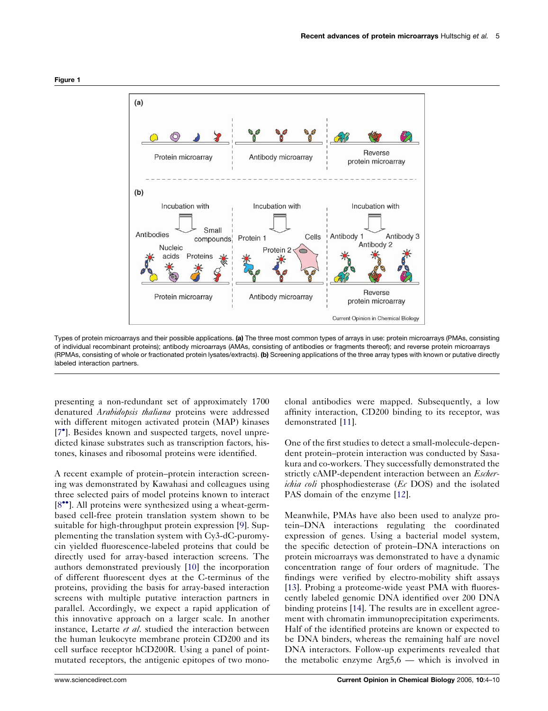<span id="page-1-0"></span>

Types of protein microarrays and their possible applications. (a) The three most common types of arrays in use: protein microarrays (PMAs, consisting of individual recombinant proteins); antibody microarrays (AMAs, consisting of antibodies or fragments thereof); and reverse protein microarrays (RPMAs, consisting of whole or fractionated protein lysates/extracts). (b) Screening applications of the three array types with known or putative directly labeled interaction partners.

presenting a non-redundant set of approximately 1700 denatured Arabidopsis thaliana proteins were addressed with different mitogen activated protein (MAP) kinases [\[7](#page-5-0)<sup>°</sup>]. Besides known and suspected targets, novel unpredicted kinase substrates such as transcription factors, histones, kinases and ribosomal proteins were identified.

A recent example of protein–protein interaction screening was demonstrated by Kawahasi and colleagues using three selected pairs of model proteins known to interact [\[8](#page-5-0)<sup> $\bullet$ °</sup>]. All proteins were synthesized using a wheat-germbased cell-free protein translation system shown to be suitable for high-throughput protein expression [[9\]](#page-5-0). Supplementing the translation system with Cy3-dC-puromycin yielded fluorescence-labeled proteins that could be directly used for array-based interaction screens. The authors demonstrated previously [[10\]](#page-5-0) the incorporation of different fluorescent dyes at the C-terminus of the proteins, providing the basis for array-based interaction screens with multiple putative interaction partners in parallel. Accordingly, we expect a rapid application of this innovative approach on a larger scale. In another instance, Letarte et al. studied the interaction between the human leukocyte membrane protein CD200 and its cell surface receptor hCD200R. Using a panel of pointmutated receptors, the antigenic epitopes of two monoclonal antibodies were mapped. Subsequently, a low affinity interaction, CD200 binding to its receptor, was demonstrated [[11\]](#page-5-0).

One of the first studies to detect a small-molecule-dependent protein–protein interaction was conducted by Sasakura and co-workers. They successfully demonstrated the strictly cAMP-dependent interaction between an *Escherichia coli* phosphodiesterase  $(Ec\ DOS)$  and the isolated PAS domain of the enzyme [\[12](#page-5-0)].

Meanwhile, PMAs have also been used to analyze protein–DNA interactions regulating the coordinated expression of genes. Using a bacterial model system, the specific detection of protein–DNA interactions on protein microarrays was demonstrated to have a dynamic concentration range of four orders of magnitude. The findings were verified by electro-mobility shift assays [[13](#page-5-0)]. Probing a proteome-wide yeast PMA with fluorescently labeled genomic DNA identified over 200 DNA binding proteins [[14\]](#page-5-0). The results are in excellent agreement with chromatin immunoprecipitation experiments. Half of the identified proteins are known or expected to be DNA binders, whereas the remaining half are novel DNA interactors. Follow-up experiments revealed that the metabolic enzyme Arg5,6 — which is involved in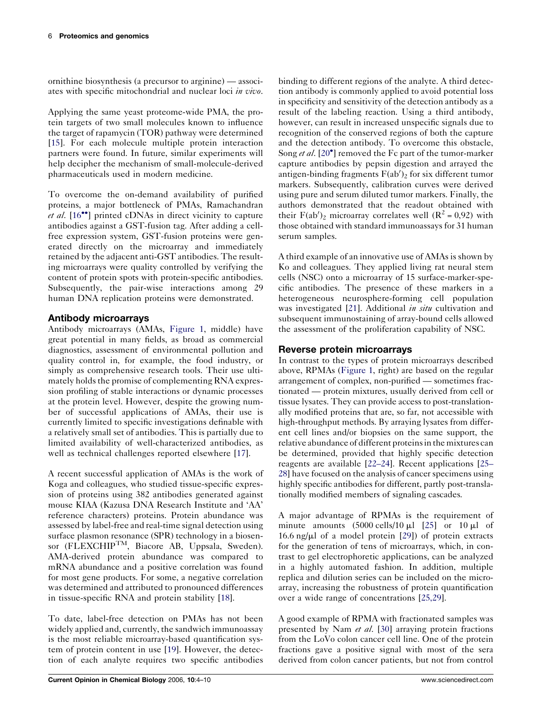ornithine biosynthesis (a precursor to arginine) — associates with specific mitochondrial and nuclear loci in vivo.

Applying the same yeast proteome-wide PMA, the protein targets of two small molecules known to influence the target of rapamycin (TOR) pathway were determined [\[15](#page-5-0)]. For each molecule multiple protein interaction partners were found. In future, similar experiments will help decipher the mechanism of small-molecule-derived pharmaceuticals used in modern medicine.

To overcome the on-demand availability of purified proteins, a major bottleneck of PMAs, Ramachandran *et al.*  $[16\text{°}$  $[16\text{°}$  $[16\text{°}$  printed cDNAs in direct vicinity to capture antibodies against a GST-fusion tag. After adding a cellfree expression system, GST-fusion proteins were generated directly on the microarray and immediately retained by the adjacent anti-GST antibodies. The resulting microarrays were quality controlled by verifying the content of protein spots with protein-specific antibodies. Subsequently, the pair-wise interactions among 29 human DNA replication proteins were demonstrated.

# Antibody microarrays

Antibody microarrays (AMAs, [Figure 1,](#page-1-0) middle) have great potential in many fields, as broad as commercial diagnostics, assessment of environmental pollution and quality control in, for example, the food industry, or simply as comprehensive research tools. Their use ultimately holds the promise of complementing RNA expression profiling of stable interactions or dynamic processes at the protein level. However, despite the growing number of successful applications of AMAs, their use is currently limited to specific investigations definable with a relatively small set of antibodies. This is partially due to limited availability of well-characterized antibodies, as well as technical challenges reported elsewhere [[17\]](#page-5-0).

A recent successful application of AMAs is the work of Koga and colleagues, who studied tissue-specific expression of proteins using 382 antibodies generated against mouse KIAA (Kazusa DNA Research Institute and 'AA' reference characters) proteins. Protein abundance was assessed by label-free and real-time signal detection using surface plasmon resonance (SPR) technology in a biosensor (FLEXCHIPTM, Biacore AB, Uppsala, Sweden). AMA-derived protein abundance was compared to mRNA abundance and a positive correlation was found for most gene products. For some, a negative correlation was determined and attributed to pronounced differences in tissue-specific RNA and protein stability [[18\]](#page-5-0).

To date, label-free detection on PMAs has not been widely applied and, currently, the sandwich immunoassay is the most reliable microarray-based quantification system of protein content in use [[19\]](#page-5-0). However, the detection of each analyte requires two specific antibodies

binding to different regions of the analyte. A third detection antibody is commonly applied to avoid potential loss in specificity and sensitivity of the detection antibody as a result of the labeling reaction. Using a third antibody, however, can result in increased unspecific signals due to recognition of the conserved regions of both the capture and the detection antibody. To overcome this obstacle, Song et al. [[20](#page-5-0)<sup>°</sup>] removed the Fc part of the tumor-marker capture antibodies by pepsin digestion and arrayed the antigen-binding fragments  $F(ab')_2$  for six different tumor markers. Subsequently, calibration curves were derived using pure and serum diluted tumor markers. Finally, the authors demonstrated that the readout obtained with their  $F(ab')_2$  microarray correlates well  $(R^2 = 0.92)$  with those obtained with standard immunoassays for 31 human serum samples.

A third example of an innovative use of AMAs is shown by Ko and colleagues. They applied living rat neural stem cells (NSC) onto a microarray of 15 surface-marker-specific antibodies. The presence of these markers in a heterogeneous neurosphere-forming cell population was investigated [\[21](#page-5-0)]. Additional *in situ* cultivation and subsequent immunostaining of array-bound cells allowed the assessment of the proliferation capability of NSC.

# Reverse protein microarrays

In contrast to the types of protein microarrays described above, RPMAs ([Figure 1,](#page-1-0) right) are based on the regular arrangement of complex, non-purified — sometimes fractionated — protein mixtures, usually derived from cell or tissue lysates. They can provide access to post-translationally modified proteins that are, so far, not accessible with high-throughput methods. By arraying lysates from different cell lines and/or biopsies on the same support, the relative abundance of different proteinsin the mixtures can be determined, provided that highly specific detection reagents are available [[22–24\]](#page-5-0). Recent applications [\[25–](#page-5-0) [28\]](#page-5-0) have focused on the analysis of cancer specimens using highly specific antibodies for different, partly post-translationally modified members of signaling cascades.

A major advantage of RPMAs is the requirement of minute amounts  $(5000 \text{ cells}/10 \text{ µl} \quad [25]$  $(5000 \text{ cells}/10 \text{ µl} \quad [25]$  or  $10 \text{ µl}$  of 16.6 ng/ $\mu$ l of a model protein [[29\]](#page-5-0)) of protein extracts for the generation of tens of microarrays, which, in contrast to gel electrophoretic applications, can be analyzed in a highly automated fashion. In addition, multiple replica and dilution series can be included on the microarray, increasing the robustness of protein quantification over a wide range of concentrations [[25,29](#page-5-0)].

A good example of RPMA with fractionated samples was presented by Nam et al. [\[30](#page-5-0)] arraying protein fractions from the LoVo colon cancer cell line. One of the protein fractions gave a positive signal with most of the sera derived from colon cancer patients, but not from control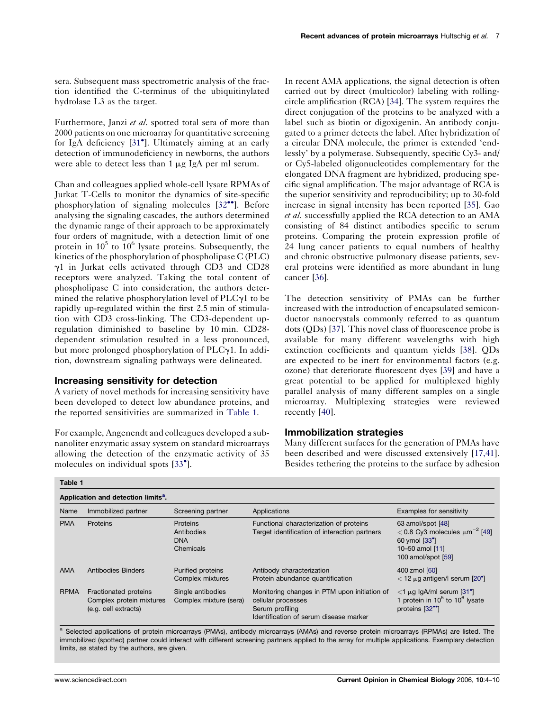sera. Subsequent mass spectrometric analysis of the fraction identified the C-terminus of the ubiquitinylated hydrolase L3 as the target.

Furthermore, Janzi et al. spotted total sera of more than 2000 patients on one microarray for quantitative screening for IgA deficiency [\[31](#page-5-0) ]. Ultimately aiming at an early detection of immunodeficiency in newborns, the authors were able to detect less than 1  $\mu$ g IgA per ml serum.

Chan and colleagues applied whole-cell lysate RPMAs of Jurkat T-Cells to monitor the dynamics of site-specific phosphorylation of signaling molecules  $[32$  $[32$ <sup>\*\*</sup>]. Before analysing the signaling cascades, the authors determined the dynamic range of their approach to be approximately four orders of magnitude, with a detection limit of one protein in  $10^5$  to  $10^6$  lysate proteins. Subsequently, the kinetics of the phosphorylation of phospholipase C (PLC) g1 in Jurkat cells activated through CD3 and CD28 receptors were analyzed. Taking the total content of phospholipase C into consideration, the authors determined the relative phosphorylation level of  $PLC_{\gamma1}$  to be rapidly up-regulated within the first 2.5 min of stimulation with CD3 cross-linking. The CD3-dependent upregulation diminished to baseline by 10 min. CD28 dependent stimulation resulted in a less pronounced, but more prolonged phosphorylation of  $PLC_{\gamma}1$ . In addition, downstream signaling pathways were delineated.

#### Increasing sensitivity for detection

A variety of novel methods for increasing sensitivity have been developed to detect low abundance proteins, and the reported sensitivities are summarized in Table 1.

For example, Angenendt and colleagues developed a subnanoliter enzymatic assay system on standard microarrays allowing the detection of the enzymatic activity of 35 molecules on individual spots [\[33](#page-5-0)<sup>°</sup>].

In recent AMA applications, the signal detection is often carried out by direct (multicolor) labeling with rollingcircle amplification (RCA) [[34\]](#page-5-0). The system requires the direct conjugation of the proteins to be analyzed with a label such as biotin or digoxigenin. An antibody conjugated to a primer detects the label. After hybridization of a circular DNA molecule, the primer is extended 'endlessly' by a polymerase. Subsequently, specific Cy3- and/ or Cy5-labeled oligonucleotides complementary for the elongated DNA fragment are hybridized, producing specific signal amplification. The major advantage of RCA is the superior sensitivity and reproducibility; up to 30-fold increase in signal intensity has been reported [[35\]](#page-5-0). Gao et al. successfully applied the RCA detection to an AMA consisting of 84 distinct antibodies specific to serum proteins. Comparing the protein expression profile of 24 lung cancer patients to equal numbers of healthy and chronic obstructive pulmonary disease patients, several proteins were identified as more abundant in lung cancer [\[36](#page-5-0)].

The detection sensitivity of PMAs can be further increased with the introduction of encapsulated semiconductor nanocrystals commonly referred to as quantum dots (QDs) [[37\]](#page-5-0). This novel class of fluorescence probe is available for many different wavelengths with high extinction coefficients and quantum yields [\[38](#page-6-0)]. QDs are expected to be inert for environmental factors (e.g. ozone) that deteriorate fluorescent dyes [\[39](#page-6-0)] and have a great potential to be applied for multiplexed highly parallel analysis of many different samples on a single microarray. Multiplexing strategies were reviewed recently [\[40](#page-6-0)].

#### Immobilization strategies

Many different surfaces for the generation of PMAs have been described and were discussed extensively [\[17,41\]](#page-5-0). Besides tethering the proteins to the surface by adhesion

| Application and detection limits <sup>a</sup> . |                                                                           |                                                   |                                                                                                                                 |                                                                                                                                              |
|-------------------------------------------------|---------------------------------------------------------------------------|---------------------------------------------------|---------------------------------------------------------------------------------------------------------------------------------|----------------------------------------------------------------------------------------------------------------------------------------------|
|                                                 |                                                                           |                                                   |                                                                                                                                 |                                                                                                                                              |
| <b>PMA</b>                                      | Proteins                                                                  | Proteins<br>Antibodies<br><b>DNA</b><br>Chemicals | Functional characterization of proteins<br>Target identification of interaction partners                                        | 63 amol/spot [48]<br>$< 0.8$ Cy3 molecules $\mu$ m <sup>-2</sup> [49]<br>60 ymol [33 <sup>°</sup> ]<br>10-50 amol [11]<br>100 amol/spot [59] |
| <b>AMA</b>                                      | Antibodies Binders                                                        | <b>Purified proteins</b><br>Complex mixtures      | Antibody characterization<br>Protein abundance quantification                                                                   | 400 zmol [60]<br>$<$ 12 $\mu$ g antigen/I serum [20 <sup>°</sup> ]                                                                           |
| <b>RPMA</b>                                     | Fractionated proteins<br>Complex protein mixtures<br>(e.g. cell extracts) | Single antibodies<br>Complex mixture (sera)       | Monitoring changes in PTM upon initiation of<br>cellular processes<br>Serum profiling<br>Identification of serum disease marker | $<$ 1 µg lgA/ml serum [31 $^{\circ}$ ]<br>1 protein in $10^5$ to $10^6$ lysate<br>proteins [32 <sup>**</sup> ]                               |

a Selected applications of protein microarrays (PMAs), antibody microarrays (AMAs) and reverse protein microarrays (RPMAs) are listed. The immobilized (spotted) partner could interact with different screening partners applied to the array for multiple applications. Exemplary detection limits, as stated by the authors, are given.

Table 1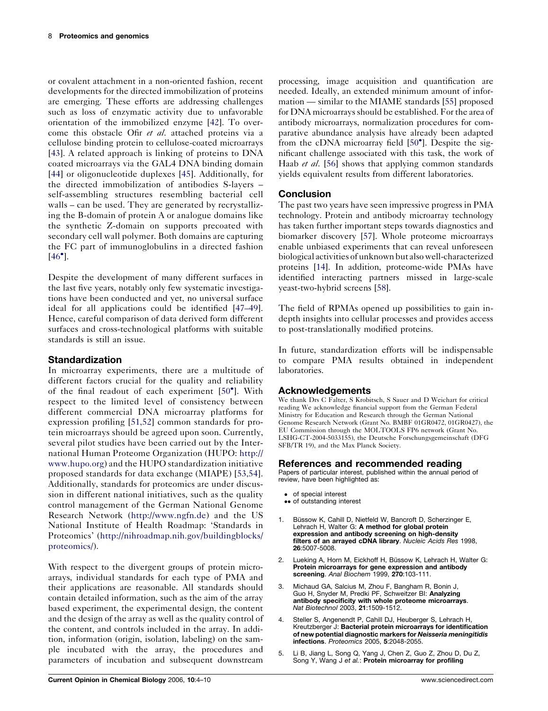<span id="page-4-0"></span>or covalent attachment in a non-oriented fashion, recent developments for the directed immobilization of proteins are emerging. These efforts are addressing challenges such as loss of enzymatic activity due to unfavorable orientation of the immobilized enzyme [[42\]](#page-6-0). To overcome this obstacle Ofir et al. attached proteins via a cellulose binding protein to cellulose-coated microarrays [\[43](#page-6-0)]. A related approach is linking of proteins to DNA coated microarrays via the GAL4 DNA binding domain [\[44](#page-6-0)] or oligonucleotide duplexes [[45](#page-6-0)]. Additionally, for the directed immobilization of antibodies S-layers – self-assembling structures resembling bacterial cell walls – can be used. They are generated by recrystallizing the B-domain of protein A or analogue domains like the synthetic Z-domain on supports precoated with secondary cell wall polymer. Both domains are capturing the FC part of immunoglobulins in a directed fashion  $[46^{\bullet}].$  $[46^{\bullet}].$ 

Despite the development of many different surfaces in the last five years, notably only few systematic investigations have been conducted and yet, no universal surface ideal for all applications could be identified [\[47–49](#page-6-0)]. Hence, careful comparison of data derived form different surfaces and cross-technological platforms with suitable standards is still an issue.

## Standardization

In microarray experiments, there are a multitude of different factors crucial for the quality and reliability of the final readout of each experiment [\[50](#page-6-0) ]. With respect to the limited level of consistency between different commercial DNA microarray platforms for expression profiling [\[51,52](#page-6-0)] common standards for protein microarrays should be agreed upon soon. Currently, several pilot studies have been carried out by the International Human Proteome Organization (HUPO: [http://](http://www.hupo.org/) [www.hupo.org](http://www.hupo.org/)) and the HUPO standardization initiative proposed standards for data exchange (MIAPE) [\[53,54](#page-6-0)]. Additionally, standards for proteomics are under discussion in different national initiatives, such as the quality control management of the German National Genome Research Network [\(http://www.ngfn.de](http://www.ngfn.de/)) and the US National Institute of Health Roadmap: 'Standards in Proteomics' ([http://nihroadmap.nih.gov/buildingblocks/](http://nihroadmap.nih.gov/buildingblocks/proteomics/) [proteomics/](http://nihroadmap.nih.gov/buildingblocks/proteomics/)).

With respect to the divergent groups of protein microarrays, individual standards for each type of PMA and their applications are reasonable. All standards should contain detailed information, such as the aim of the array based experiment, the experimental design, the content and the design of the array as well as the quality control of the content, and controls included in the array. In addition, information (origin, isolation, labeling) on the sample incubated with the array, the procedures and parameters of incubation and subsequent downstream

processing, image acquisition and quantification are needed. Ideally, an extended minimum amount of information — similar to the MIAME standards [\[55](#page-6-0)] proposed for DNA microarrays should be established. For the area of antibody microarrays, normalization procedures for comparative abundance analysis have already been adapted from the cDNA microarray field [\[50](#page-6-0)°]. Despite the significant challenge associated with this task, the work of Haab et al. [\[56\]](#page-6-0) shows that applying common standards yields equivalent results from different laboratories.

### Conclusion

The past two years have seen impressive progress in PMA technology. Protein and antibody microarray technology has taken further important steps towards diagnostics and biomarker discovery [\[57\]](#page-6-0). Whole proteome microarrays enable unbiased experiments that can reveal unforeseen biological activities of unknown but also well-characterized proteins [[14](#page-5-0)]. In addition, proteome-wide PMAs have identified interacting partners missed in large-scale yeast-two-hybrid screens [\[58](#page-6-0)].

The field of RPMAs opened up possibilities to gain indepth insights into cellular processes and provides access to post-translationally modified proteins.

In future, standardization efforts will be indispensable to compare PMA results obtained in independent laboratories.

#### Acknowledgements

We thank Drs C Falter, S Krobitsch, S Sauer and D Weichart for critical reading We acknowledge financial support from the German Federal Ministry for Education and Research through the German National Genome Research Network (Grant No. BMBF 01GR0472, 01GR0427), the EU Commission through the MOLTOOLS FP6 network (Grant No. LSHG-CT-2004-5033155), the Deutsche Forschungsgemeinschaft (DFG SFB/TR 19), and the Max Planck Society.

#### References and recommended reading

Papers of particular interest, published within the annual period of review, have been highlighted as:

- of special interest •• of outstanding interest
- 1. Büssow K, Cahill D, Nietfeld W, Bancroft D, Scherzinger E, Lehrach H, Walter G: A method for global protein expression and antibody screening on high-density filters of an arrayed cDNA library. Nucleic Acids Res 1998, 26:5007-5008.
- 2. Lueking A, Horn M, Eickhoff H, Büssow K, Lehrach H, Walter G: Protein microarrays for gene expression and antibody screening. Anal Biochem 1999, 270:103-111.
- 3. Michaud GA, Salcius M, Zhou F, Bangham R, Bonin J, Guo H, Snyder M, Predki PF, Schweitzer BI: Analyzing antibody specificity with whole proteome microarrays. Nat Biotechnol 2003, 21:1509-1512.
- Steller S, Angenendt P, Cahill DJ, Heuberger S, Lehrach H, Kreutzberger J: Bacterial protein microarrays for identification of new potential diagnostic markers for Neisseria meningitidis infections. Proteomics 2005, 5:2048-2055.
- 5. Li B, Jiang L, Song Q, Yang J, Chen Z, Guo Z, Zhou D, Du Z, Song Y, Wang J et al.: Protein microarray for profiling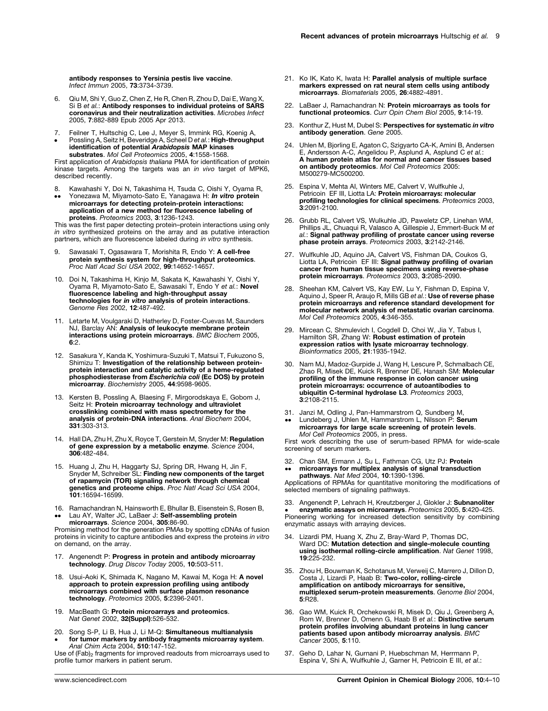<span id="page-5-0"></span>antibody responses to Yersinia pestis live vaccine. Infect Immun 2005, 73:3734-3739.

- 6. Qiu M, Shi Y, Guo Z, Chen Z, He R, Chen R, Zhou D, Dai E, Wang X, Si B et al.: Antibody responses to individual proteins of SARS coronavirus and their neutralization activities. Microbes Infect 2005, 7:882-889 Epub 2005 Apr 2013.
- 7. Feilner T, Hultschig C, Lee J, Meyer S, Immink RG, Koenig A,<br>Possling A, Seitz H, Beveridge A, Scheel D*et al.* : **High-throughput**
- $\bullet$ identification of potential Arabidopsis MAP kinases substrates. Mol Cell Proteomics 2005, 4:1558-1568.

First application of *Arabidopsis thaliana* PMA for identification of protein kinase targets. Among the targets was an in vivo target of MPK6, described recently.

- 8. Kawahashi Y, Doi N, Takashima H, Tsuda C, Oishi Y, Oyama R,
- $\bullet\bullet$ Yonezawa M, Miyamoto-Sato E, Yanagawa H: In vitro protein microarrays for detecting protein-protein interactions: application of a new method for fluorescence labeling of proteins. Proteomics 2003, 3:1236-1243.

This was the first paper detecting protein–protein interactions using only in vitro synthesized proteins on the array and as putative interaction partners, which are fluorescence labeled during in vitro synthesis.

- 9. Sawasaki T, Ogasawara T, Morishita R, Endo Y: A cell-free **protein synthesis system for high-throughput proteomics.**<br>Proc Natl Acad Sci USA 2002, **99**:14652-14657.
- 10. Doi N, Takashima H, Kinjo M, Sakata K, Kawahashi Y, Oishi Y,<br>Oyama R, Miyamoto-Sato E, Sawasaki T, Endo Y et al.: **Novel** fluorescence labeling and high-throughput assay technologies for in vitro analysis of protein interactions. Genome Res 2002, **12**:487-492.
- 11. Letarte M, Voulgaraki D, Hatherley D, Foster-Cuevas M, Saunders NJ, Barclay AN: Analysis of leukocyte membrane protein interactions using protein microarrays. BMC Biochem 2005, 6:2.
- 12. Sasakura Y, Kanda K, Yoshimura-Suzuki T, Matsui T, Fukuzono S, Shimizu T: Investigation of the relationship between proteinprotein interaction and catalytic activity of a heme-regulated<br>phosphodiesterase from *Escherichia coli (*Ec DOS) by protein microarray. Biochemistry 2005, 44:9598-9605.
- 13. Kersten B, Possling A, Blaesing F, Mirgorodskaya E, Gobom J, Seitz H: Protein microarray technology and ultraviolet crosslinking combined with mass spectrometry for the analysis of protein-DNA interactions. Anal Biochem 2004, 331:303-313.
- 14. Hall DA, Zhu H, Zhu X, Royce T, Gerstein M, Snyder M: **Regulation**<br> **of gene expression by a metabolic enzyme**. Science 2004, 306:482-484.
- 15. Huang J, Zhu H, Haggarty SJ, Spring DR, Hwang H, Jin F, Snyder M, Schreiber SL: Finding new components of the target of rapamycin (TOR) signaling network through chemical genetics and proteome chips. Proc Natl Acad Sci USA 2004, 101:16594-16599.
- 16. Ramachandran N, Hainsworth E, Bhullar B, Eisenstein S, Rosen B,  $\bullet \bullet$ Lau AY, Walter JC, LaBaer J: Self-assembling protein

microarrays. Science 2004, 305:86-90. Promising method for the generation PMAs by spotting cDNAs of fusion

proteins in vicinity to capture antibodies and express the proteins in vitro on demand, on the array.

- 17. Angenendt P: Progress in protein and antibody microarray technology. Drug Discov Today 2005, 10:503-511.
- 18. Usui-Aoki K, Shimada K, Nagano M, Kawai M, Koga H: A novel approach to protein expression profiling using antibody microarrays combined with surface plasmon resonance technology. Proteomics 2005, 5:2396-2401.
- 19. MacBeath G: **Protein microarrays and proteomics.**<br>Nat Genet 2002, 32(Suppl):526-532.
- 20. Song S-P, Li B, Hua J, Li M-Q: Simultaneous multianalysis  $\bullet$ for tumor markers by antibody fragments microarray system. Anal Chim Acta 2004, 510:147-152.

Use of  $(Fab)_2$  fragments for improved readouts from microarrays used to profile tumor markers in patient serum.

- 21. Ko IK, Kato K, Iwata H: Parallel analysis of multiple surface markers expressed on rat neural stem cells using antibody microarrays. Biomaterials 2005, 26:4882-4891.
- 22. LaBaer J. Ramachandran N: Protein microarrays as tools for functional proteomics. Curr Opin Chem Biol 2005, 9:14-19.
- 23. Konthur Z, Hust M, Dubel S: Perspectives for systematic in vitro antibody generation. Gene 2005.
- 24. Uhlen M, Bjorling E, Agaton C, Szigyarto CA-K, Amini B, Andersen E, Andersson A-C, Angelidou P, Asplund A, Asplund C et al.: A human protein atlas for normal and cancer tissues based **on antibody proteomics**. *Mol Cell Proteomics* 2005:<br>M500279-MC500200.
- 25. Espina V, Mehta AI, Winters ME, Calvert V, Wulfkuhle J, Petricoin EF III, Liotta LA: Protein microarrays: molecular profiling technologies for clinical specimens. Proteomics 2003, 3:2091-2100.
- 26. Grubb RL, Calvert VS, Wulkuhle JD, Paweletz CP, Linehan WM, Phillips JL, Chuaqui R, Valasco A, Gillespie J, Emmert-Buck M et al.: Signal pathway profiling of prostate cancer using reverse phase protein arrays. Proteomics 2003, 3:2142-2146.
- 27. Wulfkuhle JD, Aquino JA, Calvert VS, Fishman DA, Coukos G, Liotta LA, Petricoin EF III: Signal pathway profiling of ovarian cancer from human tissue specimens using reverse-phase protein microarrays. Proteomics 2003, 3:2085-2090.
- 28. Sheehan KM, Calvert VS, Kay EW, Lu Y, Fishman D, Espina V,<br>Aquino J, Speer R, Araujo R, Mills GB e*t al.*: Use of reverse phase protein microarrays and reference standard development for molecular network analysis of metastatic ovarian carcinoma. Mol Cell Proteomics 2005, 4:346-355.
- 29. Mircean C, Shmulevich I, Cogdell D, Choi W, Jia Y, Tabus I, Hamilton SR, Zhang W: Robust estimation of protein expression ratios with lysate microarray technology. Bioinformatics 2005, 21:1935-1942.
- 30. Nam MJ, Madoz-Gurpide J, Wang H, Lescure P, Schmalbach CE, Zhao R, Misek DE, Kuick R, Brenner DE, Hanash SM: Molecular profiling of the immune response in colon cancer using protein microarrays: occurrence of autoantibodies to ubiquitin C-terminal hydrolase L3. Proteomics 2003, 3:2108-2115.
- 31. Janzi M, Odling J, Pan-Hammarstrom Q, Sundberg M,
- .. Lundeberg J, Uhlen M, Hammarstrom L, Nilsson P: Serum **microarrays for large scale screening of protein levels.**<br>Mol Cell Proteomics 2005, in press.

First work describing the use of serum-based RPMA for wide-scale screening of serum markers.

32. Chan SM, Ermann J, Su L, Fathman CG, Utz PJ: Protein  $\bullet \bullet$ microarrays for multiplex analysis of signal transduction

pathways. Nat Med 2004, 10:1390-1396. Applications of RPMAs for quantitative monitoring the modifications of selected members of signaling pathways.

33. Angenendt P, Lehrach H, Kreutzberger J, Glokler J: Subnanoliter **e enzymatic assays on microarrays**. Proteomics 2005, 5:420-425.<br>Pioneering working for increased detection sensitivity by combining enzymatic assays with arraying devices.

- 34. Lizardi PM, Huang X, Zhu Z, Bray-Ward P, Thomas DC,<br>Ward DC: **Mutation detection and single-molecule counting** using isothermal rolling-circle amplification. Nat Genet 1998, 19:225-232.
- 35. Zhou H, Bouwman K, Schotanus M, Verweij C, Marrero J, Dillon D, Costa J, Lizardi P, Haab B: Two-color, rolling-circle amplification on antibody microarrays for sensitive, multiplexed serum-protein measurements. Genome Biol 2004, 5:R28.
- 36. Gao WM, Kuick R, Orchekowski R, Misek D, Qiu J, Greenberg A, Rom W, Brenner D, Omenn G, Haab B et al.: Distinctive serum protein profiles involving abundant proteins in lung cancer patients based upon antibody microarray analysis. BMC Cancer 2005, 5:110.
- 37. Geho D, Lahar N, Gurnani P, Huebschman M, Herrmann P, Espina V, Shi A, Wulfkuhle J, Garner H, Petricoin E III, et al.: